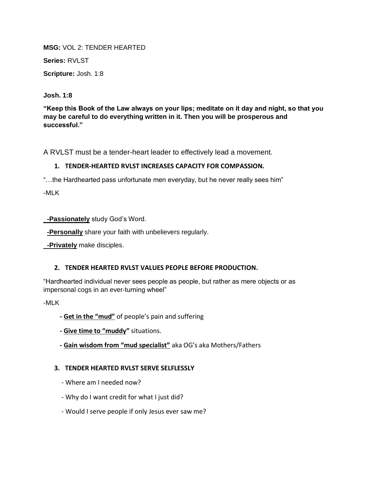**MSG:** VOL 2: TENDER HEARTED

**Series:** RVLST

**Scripture:** Josh. 1:8

**Josh. 1:8**

**"Keep this Book of the Law always on your lips; meditate on it day and night, so that you may be careful to do everything written in it. Then you will be prosperous and successful."**

A RVLST must be a tender-heart leader to effectively lead a movement.

## **1. TENDER-HEARTED RVLST INCREASES CAPACITY FOR COMPASSION.**

"…the Hardhearted pass unfortunate men everyday, but he never really sees him"

-MLK

**-Passionately** study God's Word.

**-Personally** share your faith with unbelievers regularly.

**-Privately** make disciples.

## **2. TENDER HEARTED RVLST VALUES PEOPLE BEFORE PRODUCTION.**

"Hardhearted individual never sees people as people, but rather as mere objects or as impersonal cogs in an ever-turning wheel"

-MLK

- **- Get in the "mud"** of people's pain and suffering
- **- Give time to "muddy"** situations.
- **- Gain wisdom from "mud specialist"** aka OG's aka Mothers/Fathers

## **3. TENDER HEARTED RVLST SERVE SELFLESSLY**

- Where am I needed now?
- Why do I want credit for what I just did?
- Would I serve people if only Jesus ever saw me?